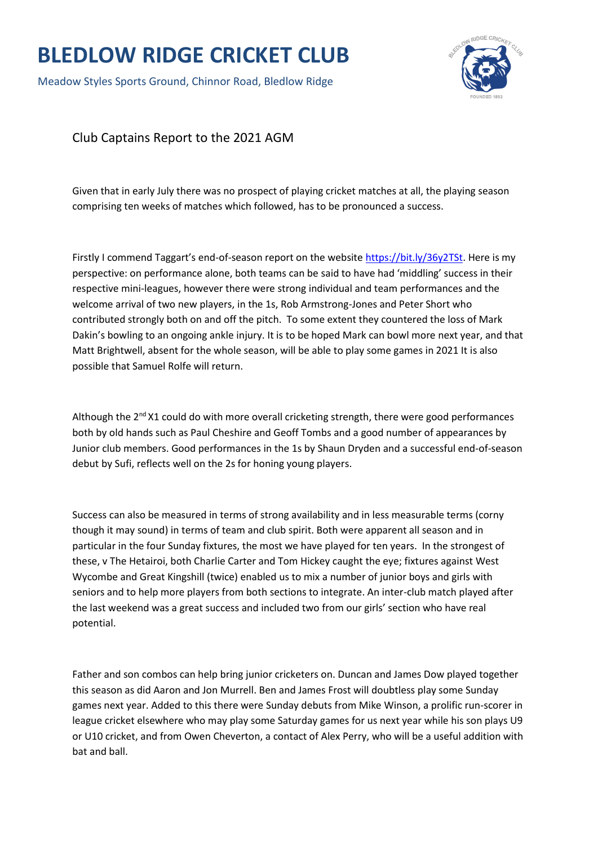## **BLEDLOW RIDGE CRICKET CLUB**

Meadow Styles Sports Ground, Chinnor Road, Bledlow Ridge



Club Captains Report to the 2021 AGM

Given that in early July there was no prospect of playing cricket matches at all, the playing season comprising ten weeks of matches which followed, has to be pronounced a success.

Firstly I commend Taggart's end-of-season report on the website [https://bit.ly/36y2TSt.](https://bit.ly/36y2TSt) Here is my perspective: on performance alone, both teams can be said to have had 'middling' success in their respective mini-leagues, however there were strong individual and team performances and the welcome arrival of two new players, in the 1s, Rob Armstrong-Jones and Peter Short who contributed strongly both on and off the pitch. To some extent they countered the loss of Mark Dakin's bowling to an ongoing ankle injury. It is to be hoped Mark can bowl more next year, and that Matt Brightwell, absent for the whole season, will be able to play some games in 2021 It is also possible that Samuel Rolfe will return.

Although the  $2<sup>nd</sup> X1$  could do with more overall cricketing strength, there were good performances both by old hands such as Paul Cheshire and Geoff Tombs and a good number of appearances by Junior club members. Good performances in the 1s by Shaun Dryden and a successful end-of-season debut by Sufi, reflects well on the 2s for honing young players.

Success can also be measured in terms of strong availability and in less measurable terms (corny though it may sound) in terms of team and club spirit. Both were apparent all season and in particular in the four Sunday fixtures, the most we have played for ten years. In the strongest of these, v The Hetairoi, both Charlie Carter and Tom Hickey caught the eye; fixtures against West Wycombe and Great Kingshill (twice) enabled us to mix a number of junior boys and girls with seniors and to help more players from both sections to integrate. An inter-club match played after the last weekend was a great success and included two from our girls' section who have real potential.

Father and son combos can help bring junior cricketers on. Duncan and James Dow played together this season as did Aaron and Jon Murrell. Ben and James Frost will doubtless play some Sunday games next year. Added to this there were Sunday debuts from Mike Winson, a prolific run-scorer in league cricket elsewhere who may play some Saturday games for us next year while his son plays U9 or U10 cricket, and from Owen Cheverton, a contact of Alex Perry, who will be a useful addition with bat and ball.